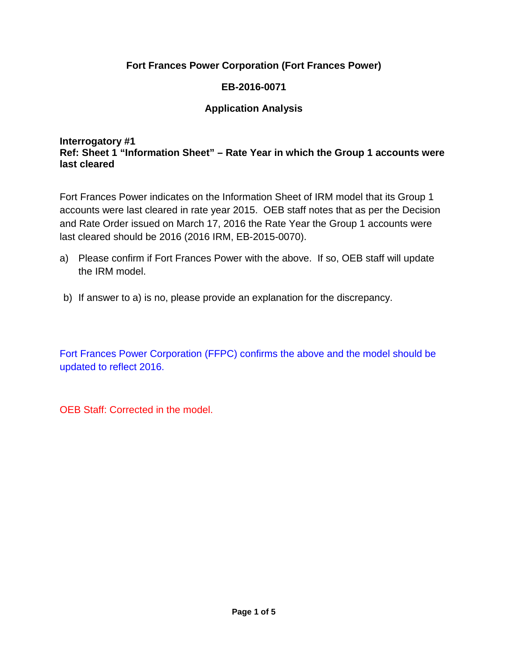## **Fort Frances Power Corporation (Fort Frances Power)**

## **EB-2016-0071**

## **Application Analysis**

#### **Interrogatory #1 Ref: Sheet 1 "Information Sheet" – Rate Year in which the Group 1 accounts were last cleared**

Fort Frances Power indicates on the Information Sheet of IRM model that its Group 1 accounts were last cleared in rate year 2015. OEB staff notes that as per the Decision and Rate Order issued on March 17, 2016 the Rate Year the Group 1 accounts were last cleared should be 2016 (2016 IRM, EB-2015-0070).

- a) Please confirm if Fort Frances Power with the above. If so, OEB staff will update the IRM model.
- b) If answer to a) is no, please provide an explanation for the discrepancy.

Fort Frances Power Corporation (FFPC) confirms the above and the model should be updated to reflect 2016.

OEB Staff: Corrected in the model.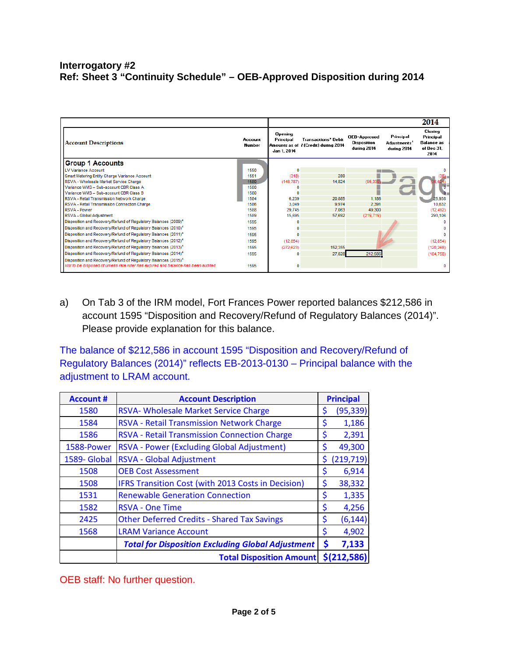#### **Interrogatory #2 Ref: Sheet 3 "Continuity Schedule" – OEB-Approved Disposition during 2014**

|                                                                                  |                   |                                     |                                                                               |                                                          |                                                      | 2014                                                            |
|----------------------------------------------------------------------------------|-------------------|-------------------------------------|-------------------------------------------------------------------------------|----------------------------------------------------------|------------------------------------------------------|-----------------------------------------------------------------|
| <b>Account Descriptions</b>                                                      | Account<br>Number | Opening<br>Principal<br>Jan 1, 2014 | <b>Transactions<sup>2</sup></b> Debit<br>Amounts as of I (Credit) during 2014 | <b>OEB-Approved</b><br><b>Disposition</b><br>during 2014 | Principal<br>Adjustments <sup>1</sup><br>during 2014 | Closing<br>Principal<br><b>Balance</b> as<br>of Dec 31.<br>2014 |
| <b>Group 1 Accounts</b>                                                          |                   |                                     |                                                                               |                                                          |                                                      |                                                                 |
| <b>LV Variance Account</b>                                                       | 1550              | O                                   |                                                                               |                                                          |                                                      |                                                                 |
| Smart Metering Entity Charge Variance Account                                    | 1551              | (318)                               | 280                                                                           |                                                          |                                                      |                                                                 |
| RSVA - Wholesale Market Service Charge                                           | 1580              | (146, 787)                          | 14,824                                                                        | (95, 33)                                                 |                                                      |                                                                 |
| Variance WMS - Sub-account CBR Class A                                           | 1580              | n                                   |                                                                               |                                                          |                                                      | ╖                                                               |
| Variance WMS - Sub-account CBR Class B                                           | 1580              | O                                   |                                                                               |                                                          |                                                      |                                                                 |
| RSVA - Retail Transmission Network Charge                                        | 1584              | 6.239                               | 20,885                                                                        | 1.186                                                    |                                                      | 25,938                                                          |
| RSVA - Retail Transmission Connection Charge                                     | 1586              | 3.049                               | 9.974                                                                         | 2.391                                                    |                                                      | 10.632                                                          |
| RSVA - Power                                                                     | 1588              | 29.745                              | 7.063                                                                         | 49.300                                                   |                                                      | (12, 492)                                                       |
| RSVA - Global Adjustment                                                         | 1589              | 15,695                              | 57,692                                                                        | (219, 719)                                               |                                                      | 293,106                                                         |
| Disposition and Recovery/Refund of Regulatory Balances (2009) <sup>4</sup>       | 1595              |                                     |                                                                               |                                                          |                                                      |                                                                 |
| Disposition and Recovery/Refund of Regulatory Balances (2010) <sup>4</sup>       | 1595              |                                     |                                                                               |                                                          |                                                      |                                                                 |
| Disposition and Recovery/Refund of Regulatory Balances (2011) <sup>4</sup>       | 1595              |                                     |                                                                               |                                                          |                                                      |                                                                 |
| Disposition and Recovery/Refund of Requlatory Balances (2012) <sup>4</sup>       | 1595              | (12, 854)                           |                                                                               |                                                          |                                                      | (12, 854)                                                       |
| Disposition and Recovery/Refund of Regulatory Balances (2013) <sup>4</sup>       | 1595              | (272, 623)                          | 152,355                                                                       |                                                          |                                                      | (120, 268)                                                      |
| Disposition and Recovery/Refund of Regulatory Balances (2014) <sup>4</sup>       | 1595              | n                                   | 27,828                                                                        | 212,586                                                  |                                                      | (184, 758)                                                      |
| Disposition and Recovery/Refund of Requlatory Balances (2015) <sup>4</sup>       |                   |                                     |                                                                               |                                                          |                                                      |                                                                 |
| Not to be disposed of unless rate rider has expired and balance has been audited | 1595              | 0                                   |                                                                               |                                                          |                                                      |                                                                 |

a) On Tab 3 of the IRM model, Fort Frances Power reported balances \$212,586 in account 1595 "Disposition and Recovery/Refund of Regulatory Balances (2014)". Please provide explanation for this balance.

The balance of \$212,586 in account 1595 "Disposition and Recovery/Refund of Regulatory Balances (2014)" reflects EB-2013-0130 – Principal balance with the adjustment to LRAM account.

| <b>Account #</b> | <b>Account Description</b>                               | <b>Principal</b> |  |
|------------------|----------------------------------------------------------|------------------|--|
| 1580             | RSVA- Wholesale Market Service Charge                    | \$<br>(95, 339)  |  |
| 1584             | RSVA - Retail Transmission Network Charge                | \$<br>1,186      |  |
| 1586             | <b>RSVA - Retail Transmission Connection Charge</b>      | \$<br>2,391      |  |
| 1588-Power       | RSVA - Power (Excluding Global Adjustment)               | \$<br>49,300     |  |
| 1589- Global     | RSVA - Global Adjustment                                 | \$<br>(219, 719) |  |
| 1508             | <b>OEB Cost Assessment</b>                               | \$<br>6,914      |  |
| 1508             | IFRS Transition Cost (with 2013 Costs in Decision)       | \$<br>38,332     |  |
| 1531             | <b>Renewable Generation Connection</b>                   | \$<br>1,335      |  |
| 1582             | <b>RSVA - One Time</b>                                   | \$<br>4,256      |  |
| 2425             | <b>Other Deferred Credits - Shared Tax Savings</b>       | \$<br>(6, 144)   |  |
| 1568             | <b>LRAM Variance Account</b>                             | \$<br>4,902      |  |
|                  | <b>Total for Disposition Excluding Global Adjustment</b> | \$<br>7,133      |  |
|                  | <b>Total Disposition Amount</b>                          | \$(212,586)      |  |

OEB staff: No further question.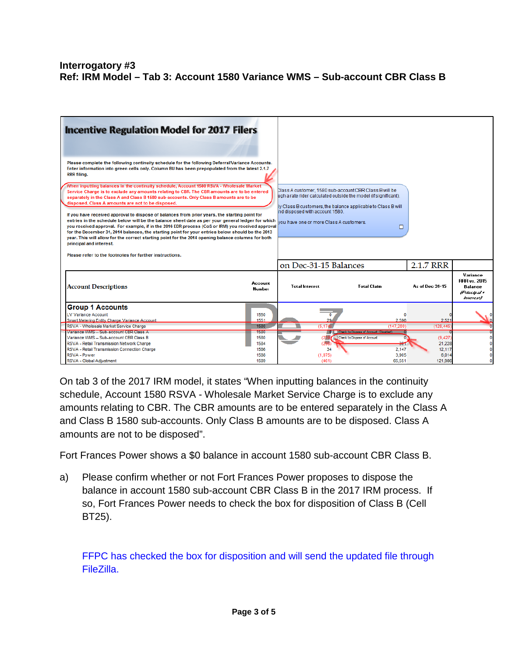#### **Interrogatory #3 Ref: IRM Model – Tab 3: Account 1580 Variance WMS – Sub-account CBR Class B**

| <b>Incentive Regulation Model for 2017 Filers</b>                                                                                                                                                                                                                                                                                                                                                                                                                                                                                            |                          |                                                                                                                                                                                           |                                                     |                   |                                                                                |
|----------------------------------------------------------------------------------------------------------------------------------------------------------------------------------------------------------------------------------------------------------------------------------------------------------------------------------------------------------------------------------------------------------------------------------------------------------------------------------------------------------------------------------------------|--------------------------|-------------------------------------------------------------------------------------------------------------------------------------------------------------------------------------------|-----------------------------------------------------|-------------------|--------------------------------------------------------------------------------|
| Please complete the following continuity schedule for the following Deferral/Variance Accounts.<br>Enter information into green cells only. Column BU has been prepopulated from the latest 2.1.7<br><b>RRR filing.</b>                                                                                                                                                                                                                                                                                                                      |                          |                                                                                                                                                                                           |                                                     |                   |                                                                                |
| When inputting balances in the continuity schedule, Account 1580 RSVA - Wholesale Market<br>Service Charge is to exclude any amounts relating to CBR. The CBR amounts are to be entered<br>separately in the Class A and Class B 1580 sub-accounts. Only Class B amounts are to be<br>disposed. Class A amounts are not to be disposed.                                                                                                                                                                                                      |                          | Class A customer, 1580 sub-account CBR Class B will be<br>ugh a rate rider calculated outside the model (if significant).<br>ly Class B customers, the balance applicable to Class B will |                                                     |                   |                                                                                |
| If you have received approval to dispose of balances from prior years, the starting point for<br>entries in the schedule below will be the balance sheet date as per your general ledger for which<br>you received approval. For example, if in the 2016 EDR process (CoS or IRM) you received approval<br>for the December 31, 2014 balances, the starting point for your entries below should be the 2013<br>year. This will allow for the correct starting point for the 2014 opening balance columns for both<br>principal and interest. |                          | ind disposed with account 1580.<br>vou have one or more Class A customers.                                                                                                                | □                                                   |                   |                                                                                |
| Please refer to the footnotes for further instructions.                                                                                                                                                                                                                                                                                                                                                                                                                                                                                      |                          |                                                                                                                                                                                           |                                                     |                   |                                                                                |
|                                                                                                                                                                                                                                                                                                                                                                                                                                                                                                                                              |                          | on Dec-31-15 Balances                                                                                                                                                                     |                                                     | 2.1.7 RRR         |                                                                                |
| <b>Account Descriptions</b>                                                                                                                                                                                                                                                                                                                                                                                                                                                                                                                  | Account<br><b>Number</b> | <b>Total Interest</b>                                                                                                                                                                     | <b>Total Claim</b>                                  | As of Dec 31-15   | Variance<br><b>BBB</b> vs. 2015<br><b>Balance</b><br>(Principal +<br>Interest) |
| <b>Group 1 Accounts</b><br><b>LV Variance Account</b><br>Smart Metering Entity Charge Variance Account                                                                                                                                                                                                                                                                                                                                                                                                                                       | 1550<br>1551             | $\overline{0}$<br>29                                                                                                                                                                      | 2.596                                               | 2.521             |                                                                                |
| RSVA - Wholesale Market Service Charge                                                                                                                                                                                                                                                                                                                                                                                                                                                                                                       | 1580                     | (5.174)                                                                                                                                                                                   | (147.200)                                           | (128.445)         |                                                                                |
| Variance WMS - Sub-account CBR Class A                                                                                                                                                                                                                                                                                                                                                                                                                                                                                                       | 1580                     |                                                                                                                                                                                           | 0   Check to Dispose of Account (Disabled)          |                   |                                                                                |
| Variance WMS - Sub-account CBR Class B<br>RSVA - Retail Transmission Network Charge                                                                                                                                                                                                                                                                                                                                                                                                                                                          | 1580<br>1584             | (298)                                                                                                                                                                                     | (239) Check to Dispose of Account<br><del>301</del> | (9.427)<br>21,228 |                                                                                |
| RSVA - Retail Transmission Connection Charge                                                                                                                                                                                                                                                                                                                                                                                                                                                                                                 | 1586                     | 34                                                                                                                                                                                        | 2,147                                               | 12,117            |                                                                                |
| RSVA - Power                                                                                                                                                                                                                                                                                                                                                                                                                                                                                                                                 | 1588                     | (1.075)                                                                                                                                                                                   | 3,905                                               | 6.014             |                                                                                |
| RSVA - Global Adjustment                                                                                                                                                                                                                                                                                                                                                                                                                                                                                                                     | 1589                     | (461)                                                                                                                                                                                     | 65.551                                              | 121.986           |                                                                                |

On tab 3 of the 2017 IRM model, it states "When inputting balances in the continuity schedule, Account 1580 RSVA - Wholesale Market Service Charge is to exclude any amounts relating to CBR. The CBR amounts are to be entered separately in the Class A and Class B 1580 sub-accounts. Only Class B amounts are to be disposed. Class A amounts are not to be disposed".

Fort Frances Power shows a \$0 balance in account 1580 sub-account CBR Class B.

a) Please confirm whether or not Fort Frances Power proposes to dispose the balance in account 1580 sub-account CBR Class B in the 2017 IRM process. If so, Fort Frances Power needs to check the box for disposition of Class B (Cell BT25).

FFPC has checked the box for disposition and will send the updated file through FileZilla.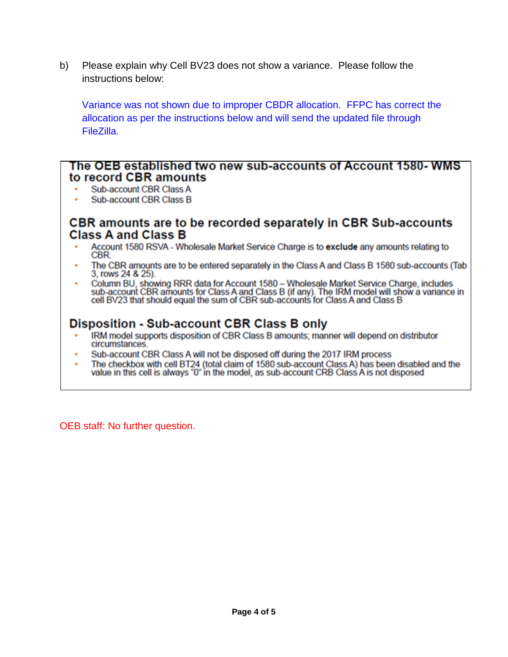b) Please explain why Cell BV23 does not show a variance. Please follow the instructions below:

Variance was not shown due to improper CBDR allocation. FFPC has correct the allocation as per the instructions below and will send the updated file through FileZilla.

### The OEB established two new sub-accounts of Account 1580-WMS to record CBR amounts

- **Sub-account CBR Class A**
- **Sub-account CBR Class B**

## CBR amounts are to be recorded separately in CBR Sub-accounts **Class A and Class B**

- Account 1580 RSVA Wholesale Market Service Charge is to exclude any amounts relating to CBR.
- The CBR amounts are to be entered separately in the Class A and Class B 1580 sub-accounts (Tab 3, rows 24 & 25).
- Column BU, showing RRR data for Account 1580 Wholesale Market Service Charge, includes<br>sub-account CBR amounts for Class A and Class B (if any). The IRM model will show a variance in<br>cell BV23 that should equal the sum o

# **Disposition - Sub-account CBR Class B only**

- IRM model supports disposition of CBR Class B amounts; manner will depend on distributor circumstances.
- Sub-account CBR Class A will not be disposed off during the 2017 IRM process
- The checkbox with cell BT24 (total claim of 1580 sub-account Class A) has been disabled and the value in this cell is always "0" in the model, as sub-account CRB Class A is not disposed

OEB staff: No further question.